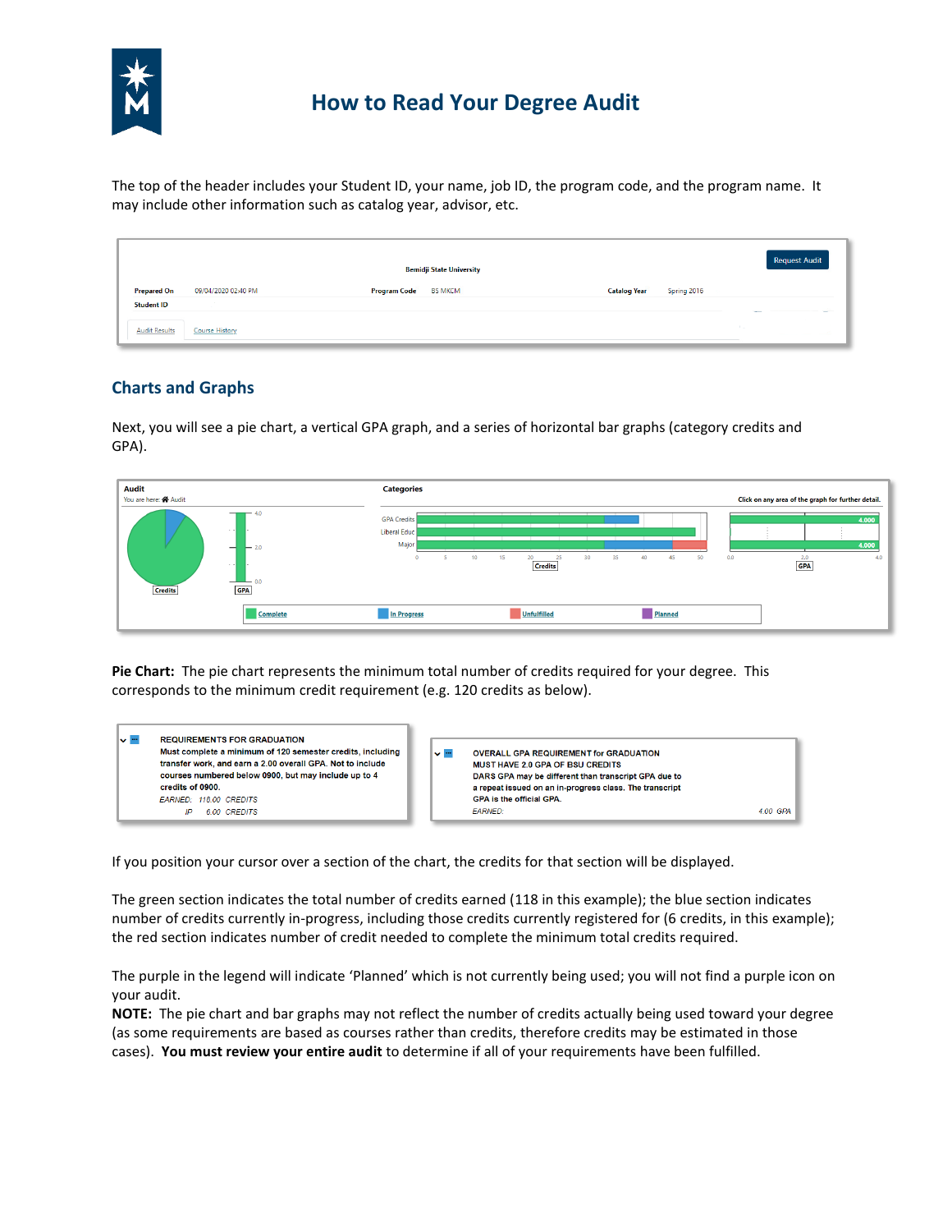

# **How to Read Your Degree Audit**

 The top of the header includes your Student ID, your name, job ID, the program code, and the program name. It may include other information such as catalog year, advisor, etc.

|                      |                     | <b>Bemidji State University</b>       |                                    | <b>Request Audit</b> |
|----------------------|---------------------|---------------------------------------|------------------------------------|----------------------|
| <b>Prepared On</b>   | 09/04/2020 02:40 PM | <b>BS MKCM</b><br><b>Program Code</b> | Spring 2016<br><b>Catalog Year</b> |                      |
| <b>Student ID</b>    |                     |                                       |                                    |                      |
| <b>Audit Results</b> | Course History      |                                       | $\mathcal{L}$                      |                      |

## **Charts and Graphs**

Next, you will see a pie chart, a vertical GPA graph, and a series of horizontal bar graphs (category credits and GPA).



 **Pie Chart:** The pie chart represents the minimum total number of credits required for your degree. This corresponds to the minimum credit requirement (e.g. 120 credits as below).



If you position your cursor over a section of the chart, the credits for that section will be displayed.

The green section indicates the total number of credits earned (118 in this example); the blue section indicates number of credits currently in-progress, including those credits currently registered for (6 credits, in this example); the red section indicates number of credit needed to complete the minimum total credits required.

The purple in the legend will indicate 'Planned' which is not currently being used; you will not find a purple icon on your audit.

 **NOTE:** The pie chart and bar graphs may not reflect the number of credits actually being used toward your degree (as some requirements are based as courses rather than credits, therefore credits may be estimated in those cases). **You must review your entire audit** to determine if all of your requirements have been fulfilled.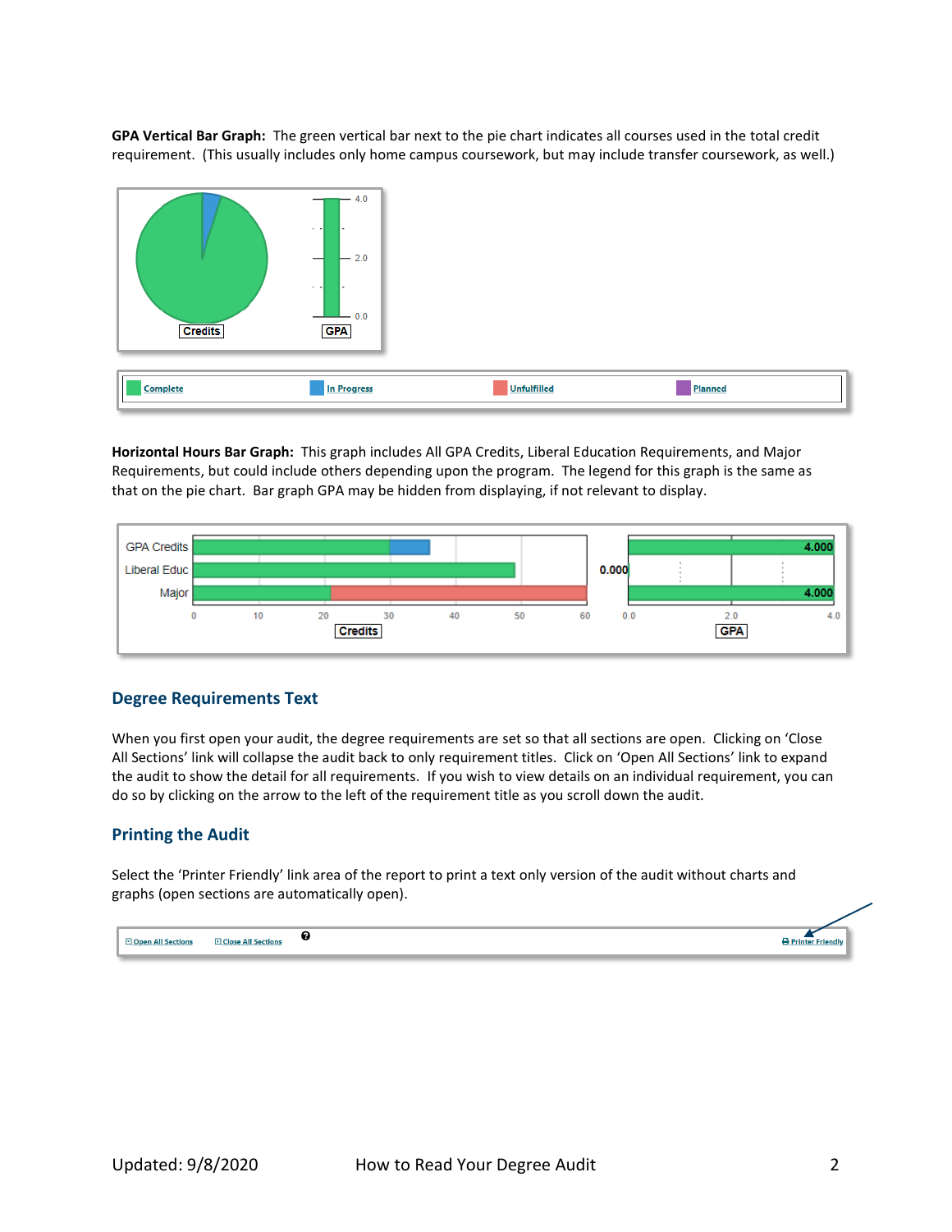**GPA Vertical Bar Graph:** The green vertical bar next to the pie chart indicates all courses used in the total credit requirement. (This usually includes only home campus coursework, but may include transfer coursework, as well.)



 **Horizontal Hours Bar Graph:** This graph includes All GPA Credits, Liberal Education Requirements, and Major that on the pie chart. Bar graph GPA may be hidden from displaying, if not relevant to display. Requirements, but could include others depending upon the program. The legend for this graph is the same as



#### **Degree Requirements Text**

When you first open your audit, the degree requirements are set so that all sections are open. Clicking on 'Close All Sections' link will collapse the audit back to only requirement titles. Click on 'Open All Sections' link to expand the audit to show the detail for all requirements. If you wish to view details on an individual requirement, you can do so by clicking on the arrow to the left of the requirement title as you scroll down the audit.

#### **Printing the Audit**

Select the 'Printer Friendly' link area of the report to print a text only version of the audit without charts and graphs (open sections are automatically open).

| <b>D</b> Close All Sections<br><b>All Sections</b><br><b>TRACK</b> |  |  |
|--------------------------------------------------------------------|--|--|
|--------------------------------------------------------------------|--|--|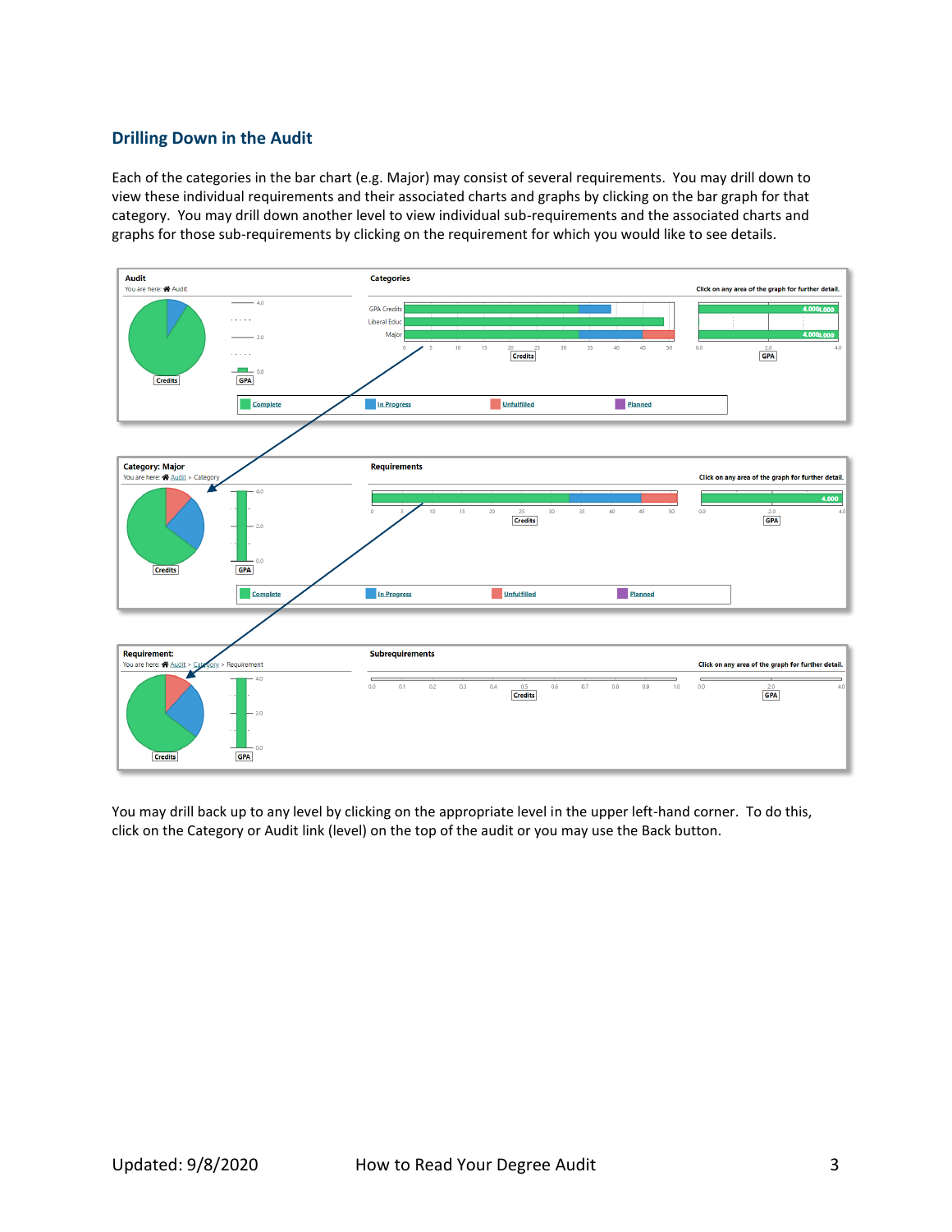### **Drilling Down in the Audit**

Each of the categories in the bar chart (e.g. Major) may consist of several requirements. You may drill down to view these individual requirements and their associated charts and graphs by clicking on the bar graph for that category. You may drill down another level to view individual sub-requirements and the associated charts and graphs for those sub-requirements by clicking on the requirement for which you would like to see details.



You may drill back up to any level by clicking on the appropriate level in the upper left-hand corner. To do this, click on the Category or Audit link (level) on the top of the audit or you may use the Back button.